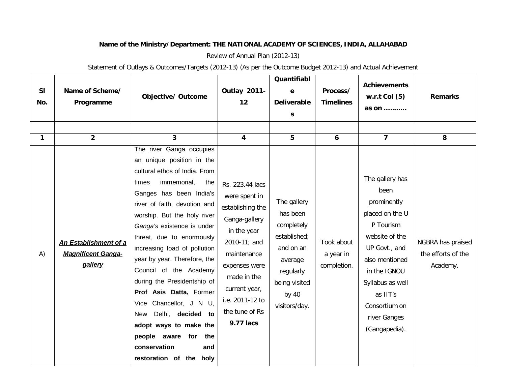## **Name of the Ministry/Department: THE NATIONAL ACADEMY OF SCIENCES, INDIA, ALLAHABAD**

Review of Annual Plan (2012-13)

Statement of Outlays & Outcomes/Targets (2012-13) (As per the Outcome Budget 2012-13) and Actual Achievement

| <b>SI</b><br>No. | Name of Scheme/<br>Programme                                  | <b>Objective/ Outcome</b>                                                                                                                                                                                                                                                                                                                                                                                                                                                                                                                                                                    | <b>Outlay 2011-</b><br>12                                                                                                                                                                                              | Quantifiabl<br>e<br><b>Deliverable</b><br>S                                                                                             | Process/<br><b>Timelines</b>           | <b>Achievements</b><br>w.r.t Col $(5)$<br>as on $\dots\dots\dots$                                                                                                                                                             | <b>Remarks</b>                                      |
|------------------|---------------------------------------------------------------|----------------------------------------------------------------------------------------------------------------------------------------------------------------------------------------------------------------------------------------------------------------------------------------------------------------------------------------------------------------------------------------------------------------------------------------------------------------------------------------------------------------------------------------------------------------------------------------------|------------------------------------------------------------------------------------------------------------------------------------------------------------------------------------------------------------------------|-----------------------------------------------------------------------------------------------------------------------------------------|----------------------------------------|-------------------------------------------------------------------------------------------------------------------------------------------------------------------------------------------------------------------------------|-----------------------------------------------------|
| $\mathbf{1}$     | $\overline{2}$                                                | 3                                                                                                                                                                                                                                                                                                                                                                                                                                                                                                                                                                                            | 4                                                                                                                                                                                                                      | 5                                                                                                                                       | 6                                      | $\overline{\mathbf{z}}$                                                                                                                                                                                                       | 8                                                   |
| A)               | An Establishment of a<br><b>Magnificent Ganga-</b><br>gallery | The river Ganga occupies<br>an unique position in the<br>cultural ethos of India. From<br>immemorial,<br>times<br>the<br>Ganges has been India's<br>river of faith, devotion and<br>worship. But the holy river<br>Ganga's existence is under<br>threat, due to enormously<br>increasing load of pollution<br>year by year. Therefore, the<br>Council of the Academy<br>during the Presidentship of<br>Prof Asis Datta, Former<br>Vice Chancellor, J N U,<br>Delhi, decided to<br>New<br>adopt ways to make the<br>people aware for<br>the<br>conservation<br>and<br>restoration of the holy | Rs. 223.44 lacs<br>were spent in<br>establishing the<br>Ganga-gallery<br>in the year<br>2010-11; and<br>maintenance<br>expenses were<br>made in the<br>current year,<br>i.e. 2011-12 to<br>the tune of Rs<br>9.77 lacs | The gallery<br>has been<br>completely<br>established;<br>and on an<br>average<br>regularly<br>being visited<br>by $40$<br>visitors/day. | Took about<br>a year in<br>completion. | The gallery has<br>been<br>prominently<br>placed on the U<br>P Tourism<br>website of the<br>UP Govt., and<br>also mentioned<br>in the IGNOU<br>Syllabus as well<br>as IIT's<br>Consortium on<br>river Ganges<br>(Gangapedia). | NGBRA has praised<br>the efforts of the<br>Academy. |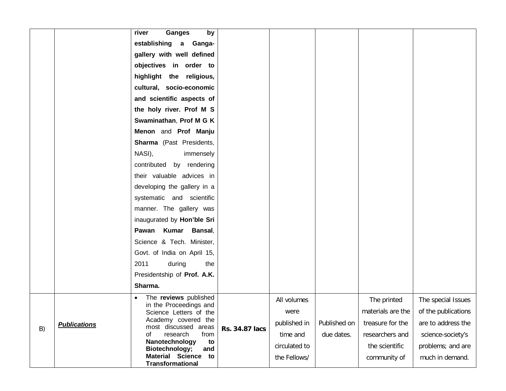|    |                     | <b>Ganges</b><br>by<br>river                             |                |               |              |                   |                     |
|----|---------------------|----------------------------------------------------------|----------------|---------------|--------------|-------------------|---------------------|
|    |                     | establishing a<br>Ganga-                                 |                |               |              |                   |                     |
|    |                     | gallery with well defined                                |                |               |              |                   |                     |
|    |                     | objectives in order to                                   |                |               |              |                   |                     |
|    |                     | highlight the religious,                                 |                |               |              |                   |                     |
|    |                     | cultural, socio-economic                                 |                |               |              |                   |                     |
|    |                     | and scientific aspects of                                |                |               |              |                   |                     |
|    |                     | the holy river. Prof M S                                 |                |               |              |                   |                     |
|    |                     | Swaminathan, Prof M G K                                  |                |               |              |                   |                     |
|    |                     | Menon and Prof Manju                                     |                |               |              |                   |                     |
|    |                     | Sharma (Past Presidents,                                 |                |               |              |                   |                     |
|    |                     | NASI),<br>immensely                                      |                |               |              |                   |                     |
|    |                     | contributed by rendering                                 |                |               |              |                   |                     |
|    |                     | their valuable advices in                                |                |               |              |                   |                     |
|    |                     | developing the gallery in a                              |                |               |              |                   |                     |
|    |                     | systematic and scientific                                |                |               |              |                   |                     |
|    |                     | manner. The gallery was                                  |                |               |              |                   |                     |
|    |                     | inaugurated by Hon'ble Sri                               |                |               |              |                   |                     |
|    |                     | Pawan Kumar Bansal,                                      |                |               |              |                   |                     |
|    |                     | Science & Tech. Minister,                                |                |               |              |                   |                     |
|    |                     | Govt. of India on April 15,                              |                |               |              |                   |                     |
|    |                     | during<br>2011<br>the                                    |                |               |              |                   |                     |
|    |                     | Presidentship of Prof. A.K.                              |                |               |              |                   |                     |
|    |                     | Sharma.                                                  |                |               |              |                   |                     |
|    |                     | The reviews published<br>in the Proceedings and          |                | All volumes   |              | The printed       | The special Issues  |
|    |                     | Science Letters of the                                   |                | were          |              | materials are the | of the publications |
|    | <b>Publications</b> | Academy covered the<br>most discussed areas              |                | published in  | Published on | treasure for the  | are to address the  |
| B) |                     | research<br>from<br>οf                                   | Rs. 34.87 lacs | time and      | due dates.   | researchers and   | science-society's   |
|    |                     | Nanotechnology<br>to<br>Biotechnology;<br>and            |                | circulated to |              | the scientific    | problems; and are   |
|    |                     | <b>Material Science</b><br>to<br><b>Transformational</b> |                | the Fellows/  |              | community of      | much in demand.     |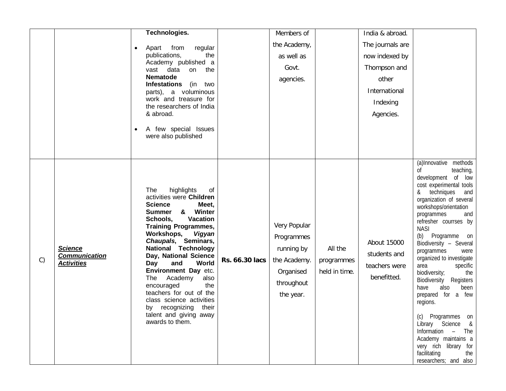|    |                                                             | Technologies.                                                                                                                                                                                                                                                                                                                                                                                                                                                                                                      |                | Members of                                                                                       |                                        | India & abroad.                                             |                                                                                                                                                                                                                                                                                                                                                                                                                                                                                                                                                                                                                                                          |
|----|-------------------------------------------------------------|--------------------------------------------------------------------------------------------------------------------------------------------------------------------------------------------------------------------------------------------------------------------------------------------------------------------------------------------------------------------------------------------------------------------------------------------------------------------------------------------------------------------|----------------|--------------------------------------------------------------------------------------------------|----------------------------------------|-------------------------------------------------------------|----------------------------------------------------------------------------------------------------------------------------------------------------------------------------------------------------------------------------------------------------------------------------------------------------------------------------------------------------------------------------------------------------------------------------------------------------------------------------------------------------------------------------------------------------------------------------------------------------------------------------------------------------------|
|    |                                                             |                                                                                                                                                                                                                                                                                                                                                                                                                                                                                                                    |                | the Academy,                                                                                     |                                        | The journals are                                            |                                                                                                                                                                                                                                                                                                                                                                                                                                                                                                                                                                                                                                                          |
|    |                                                             | from<br>Apart<br>regular<br>publications,<br>the                                                                                                                                                                                                                                                                                                                                                                                                                                                                   |                | as well as                                                                                       |                                        | now indexed by                                              |                                                                                                                                                                                                                                                                                                                                                                                                                                                                                                                                                                                                                                                          |
|    |                                                             | Academy published a                                                                                                                                                                                                                                                                                                                                                                                                                                                                                                |                | Govt.                                                                                            |                                        | Thompson and                                                |                                                                                                                                                                                                                                                                                                                                                                                                                                                                                                                                                                                                                                                          |
|    |                                                             | vast<br>data<br>on<br>the<br>Nematode                                                                                                                                                                                                                                                                                                                                                                                                                                                                              |                |                                                                                                  |                                        | other                                                       |                                                                                                                                                                                                                                                                                                                                                                                                                                                                                                                                                                                                                                                          |
|    |                                                             | <b>Infestations</b><br>(in two                                                                                                                                                                                                                                                                                                                                                                                                                                                                                     |                | agencies.                                                                                        |                                        |                                                             |                                                                                                                                                                                                                                                                                                                                                                                                                                                                                                                                                                                                                                                          |
|    |                                                             | parts), a voluminous<br>work and treasure for                                                                                                                                                                                                                                                                                                                                                                                                                                                                      |                |                                                                                                  |                                        | International                                               |                                                                                                                                                                                                                                                                                                                                                                                                                                                                                                                                                                                                                                                          |
|    |                                                             | the researchers of India                                                                                                                                                                                                                                                                                                                                                                                                                                                                                           |                |                                                                                                  |                                        | Indexing                                                    |                                                                                                                                                                                                                                                                                                                                                                                                                                                                                                                                                                                                                                                          |
|    |                                                             | & abroad.                                                                                                                                                                                                                                                                                                                                                                                                                                                                                                          |                |                                                                                                  |                                        | Agencies.                                                   |                                                                                                                                                                                                                                                                                                                                                                                                                                                                                                                                                                                                                                                          |
|    |                                                             | A few special Issues<br>$\bullet$                                                                                                                                                                                                                                                                                                                                                                                                                                                                                  |                |                                                                                                  |                                        |                                                             |                                                                                                                                                                                                                                                                                                                                                                                                                                                                                                                                                                                                                                                          |
|    |                                                             | were also published                                                                                                                                                                                                                                                                                                                                                                                                                                                                                                |                |                                                                                                  |                                        |                                                             |                                                                                                                                                                                                                                                                                                                                                                                                                                                                                                                                                                                                                                                          |
|    |                                                             |                                                                                                                                                                                                                                                                                                                                                                                                                                                                                                                    |                |                                                                                                  |                                        |                                                             |                                                                                                                                                                                                                                                                                                                                                                                                                                                                                                                                                                                                                                                          |
| C) | <b>Science</b><br><b>Communication</b><br><b>Activities</b> | The<br>highlights<br>of<br>activities were Children<br><b>Science</b><br>Meet,<br>&<br>Winter<br><b>Summer</b><br><b>Vacation</b><br>Schools,<br><b>Training Programmes,</b><br>Workshops,<br>Vigyan<br>Chaupals, Seminars,<br><b>National Technology</b><br>Day, National Science<br>World<br>and<br>Day<br>Environment Day etc.<br>Academy<br>The<br>also<br>the<br>encouraged<br>teachers for out of the<br>class science activities<br>recognizing<br>their<br>by<br>talent and giving away<br>awards to them. | Rs. 66.30 lacs | Very Popular<br>Programmes<br>running by<br>the Academy.<br>Organised<br>throughout<br>the year. | All the<br>programmes<br>held in time. | About 15000<br>students and<br>teachers were<br>benefitted. | (a)Innovative methods<br>οf<br>teaching,<br>development of<br>low<br>cost experimental tools<br>techniques<br>&<br>and<br>organization of several<br>workshops/orientation<br>programmes<br>and<br>refresher courrses by<br><b>NASI</b><br>(b)<br>Programme<br>$_{\rm on}$<br>Biodiversity - Several<br>programmes<br>were<br>organized to investigate<br>area<br>specific<br>biodiversity;<br>the<br>Biodiversity<br>Registers<br>also<br>been<br>have<br>prepared for a few<br>regions.<br>(c) Programmes on<br>Library Science &<br>Information - The<br>Academy maintains a<br>very rich library for<br>facilitating<br>the<br>researchers; and also |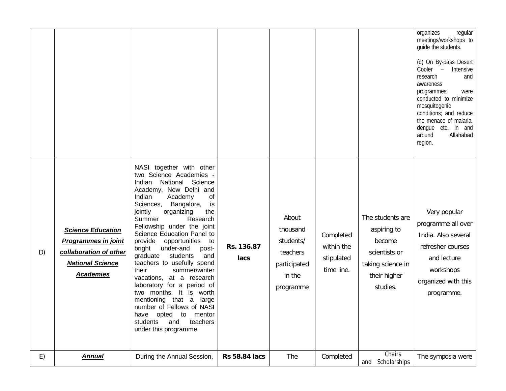|    |                                                                                                                                 |                                                                                                                                                                                                                                                                                                                                                                                                                                                                                                                                                                                                                                                                                    |                      |                                                                                   |                                                     |                                                                                                             | organizes<br>regular<br>meetings/workshops to<br>guide the students.<br>(d) On By-pass Desert<br>Cooler -<br>Intensive<br>research<br>and<br>awareness<br>programmes<br>were<br>conducted to minimize<br>mosquitogenic<br>conditions; and reduce<br>the menace of malaria,<br>dengue etc. in and<br>Allahabad<br>around<br>region. |
|----|---------------------------------------------------------------------------------------------------------------------------------|------------------------------------------------------------------------------------------------------------------------------------------------------------------------------------------------------------------------------------------------------------------------------------------------------------------------------------------------------------------------------------------------------------------------------------------------------------------------------------------------------------------------------------------------------------------------------------------------------------------------------------------------------------------------------------|----------------------|-----------------------------------------------------------------------------------|-----------------------------------------------------|-------------------------------------------------------------------------------------------------------------|------------------------------------------------------------------------------------------------------------------------------------------------------------------------------------------------------------------------------------------------------------------------------------------------------------------------------------|
| D) | <b>Science Education</b><br><b>Programmes in joint</b><br>collaboration of other<br><b>National Science</b><br><b>Academies</b> | NASI together with other<br>two Science Academies -<br>Indian<br>National Science<br>Academy, New Delhi and<br>Indian<br>Academy<br>of<br>Bangalore,<br>Sciences,<br>is<br>the<br>jointly<br>organizing<br>Summer<br>Research<br>Fellowship under the joint<br>Science Education Panel to<br>provide<br>opportunities<br>to<br>bright<br>under-and<br>post-<br>graduate<br>students<br>and<br>teachers to usefully spend<br>summer/winter<br>their<br>vacations, at a research<br>laboratory for a period of<br>two months. It is worth<br>mentioning that a<br>large<br>number of Fellows of NASI<br>have opted to mentor<br>students<br>and<br>teachers<br>under this programme. | Rs. 136.87<br>lacs   | About<br>thousand<br>students/<br>teachers<br>participated<br>in the<br>programme | Completed<br>within the<br>stipulated<br>time line. | The students are<br>aspiring to<br>become<br>scientists or<br>taking science in<br>their higher<br>studies. | Very popular<br>programme all over<br>India. Also several<br>refresher courses<br>and lecture<br>workshops<br>organized with this<br>programme.                                                                                                                                                                                    |
| E) | <b>Annual</b>                                                                                                                   | During the Annual Session,                                                                                                                                                                                                                                                                                                                                                                                                                                                                                                                                                                                                                                                         | <b>Rs 58.84 lacs</b> | The                                                                               | Completed                                           | Chairs<br>Scholarships<br>and                                                                               | The symposia were                                                                                                                                                                                                                                                                                                                  |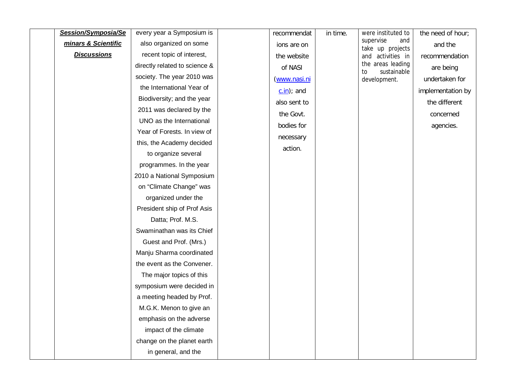| Session/Symposia/Se | every year a Symposium is     | recommendat  | in time. | were instituted to                     | the need of hour; |
|---------------------|-------------------------------|--------------|----------|----------------------------------------|-------------------|
| minars & Scientific | also organized on some        | ions are on  |          | supervise<br>and<br>take up projects   | and the           |
| <b>Discussions</b>  | recent topic of interest,     | the website  |          | and activities in                      | recommendation    |
|                     | directly related to science & | of NASI      |          | the areas leading<br>sustainable<br>to | are being         |
|                     | society. The year 2010 was    | (www.nasi.ni |          | development.                           | undertaken for    |
|                     | the International Year of     | $c.in$ ; and |          |                                        | implementation by |
|                     | Biodiversity; and the year    | also sent to |          |                                        | the different     |
|                     | 2011 was declared by the      | the Govt.    |          |                                        | concerned         |
|                     | UNO as the International      | bodies for   |          |                                        | agencies.         |
|                     | Year of Forests. In view of   | necessary    |          |                                        |                   |
|                     | this, the Academy decided     | action.      |          |                                        |                   |
|                     | to organize several           |              |          |                                        |                   |
|                     | programmes. In the year       |              |          |                                        |                   |
|                     | 2010 a National Symposium     |              |          |                                        |                   |
|                     | on "Climate Change" was       |              |          |                                        |                   |
|                     | organized under the           |              |          |                                        |                   |
|                     | President ship of Prof Asis   |              |          |                                        |                   |
|                     | Datta; Prof. M.S.             |              |          |                                        |                   |
|                     | Swaminathan was its Chief     |              |          |                                        |                   |
|                     | Guest and Prof. (Mrs.)        |              |          |                                        |                   |
|                     | Manju Sharma coordinated      |              |          |                                        |                   |
|                     | the event as the Convener.    |              |          |                                        |                   |
|                     | The major topics of this      |              |          |                                        |                   |
|                     | symposium were decided in     |              |          |                                        |                   |
|                     | a meeting headed by Prof.     |              |          |                                        |                   |
|                     | M.G.K. Menon to give an       |              |          |                                        |                   |
|                     | emphasis on the adverse       |              |          |                                        |                   |
|                     | impact of the climate         |              |          |                                        |                   |
|                     | change on the planet earth    |              |          |                                        |                   |
|                     | in general, and the           |              |          |                                        |                   |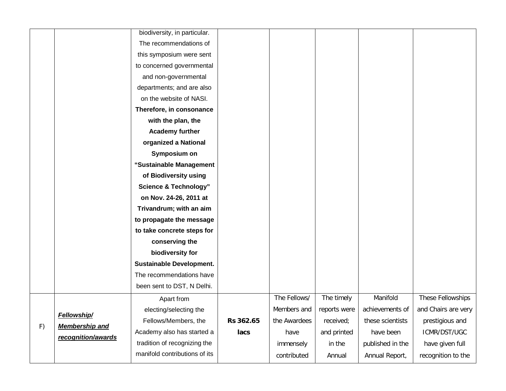|    |                       | biodiversity, in particular.     |           |              |              |                  |                     |
|----|-----------------------|----------------------------------|-----------|--------------|--------------|------------------|---------------------|
|    |                       | The recommendations of           |           |              |              |                  |                     |
|    |                       | this symposium were sent         |           |              |              |                  |                     |
|    |                       | to concerned governmental        |           |              |              |                  |                     |
|    |                       | and non-governmental             |           |              |              |                  |                     |
|    |                       | departments; and are also        |           |              |              |                  |                     |
|    |                       | on the website of NASI.          |           |              |              |                  |                     |
|    |                       | Therefore, in consonance         |           |              |              |                  |                     |
|    |                       | with the plan, the               |           |              |              |                  |                     |
|    |                       | <b>Academy further</b>           |           |              |              |                  |                     |
|    |                       | organized a National             |           |              |              |                  |                     |
|    |                       | Symposium on                     |           |              |              |                  |                     |
|    |                       | "Sustainable Management          |           |              |              |                  |                     |
|    |                       | of Biodiversity using            |           |              |              |                  |                     |
|    |                       | <b>Science &amp; Technology"</b> |           |              |              |                  |                     |
|    |                       | on Nov. 24-26, 2011 at           |           |              |              |                  |                     |
|    |                       | Trivandrum; with an aim          |           |              |              |                  |                     |
|    |                       | to propagate the message         |           |              |              |                  |                     |
|    |                       | to take concrete steps for       |           |              |              |                  |                     |
|    |                       | conserving the                   |           |              |              |                  |                     |
|    |                       | biodiversity for                 |           |              |              |                  |                     |
|    |                       | <b>Sustainable Development.</b>  |           |              |              |                  |                     |
|    |                       | The recommendations have         |           |              |              |                  |                     |
|    |                       | been sent to DST, N Delhi.       |           |              |              |                  |                     |
|    |                       | Apart from                       |           | The Fellows/ | The timely   | Manifold         | These Fellowships   |
|    | <b>Fellowship/</b>    | electing/selecting the           |           | Members and  | reports were | achievements of  | and Chairs are very |
| F) | <b>Membership and</b> | Fellows/Members, the             | Rs 362.65 | the Awardees | received;    | these scientists | prestigious and     |
|    | recognition/awards    | Academy also has started a       | lacs      | have         | and printed  | have been        | ICMR/DST/UGC        |
|    |                       | tradition of recognizing the     |           | immensely    | in the       | published in the | have given full     |
|    |                       | manifold contributions of its    |           | contributed  | Annual       | Annual Report,   | recognition to the  |
|    |                       |                                  |           |              |              |                  |                     |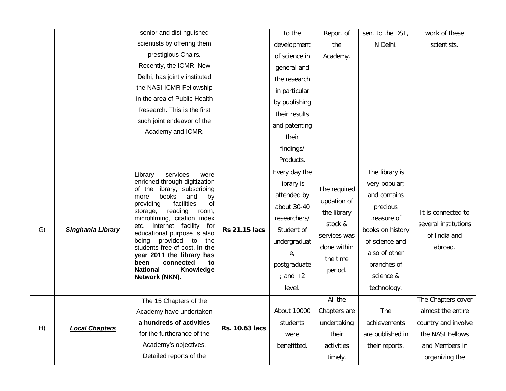|    |                          | senior and distinguished                                                                                                 |                      | to the        | Report of    | sent to the DST, | work of these        |
|----|--------------------------|--------------------------------------------------------------------------------------------------------------------------|----------------------|---------------|--------------|------------------|----------------------|
|    |                          | scientists by offering them                                                                                              |                      | development   | the          | N Delhi.         | scientists.          |
|    |                          | prestigious Chairs.                                                                                                      |                      | of science in | Academy.     |                  |                      |
|    |                          | Recently, the ICMR, New                                                                                                  |                      | general and   |              |                  |                      |
|    |                          | Delhi, has jointly instituted                                                                                            |                      | the research  |              |                  |                      |
|    |                          | the NASI-ICMR Fellowship                                                                                                 |                      | in particular |              |                  |                      |
|    |                          | in the area of Public Health                                                                                             |                      | by publishing |              |                  |                      |
|    |                          | Research. This is the first                                                                                              |                      | their results |              |                  |                      |
|    |                          | such joint endeavor of the                                                                                               |                      | and patenting |              |                  |                      |
|    |                          | Academy and ICMR.                                                                                                        |                      | their         |              |                  |                      |
|    |                          |                                                                                                                          |                      | findings/     |              |                  |                      |
|    |                          |                                                                                                                          |                      | Products.     |              |                  |                      |
|    |                          | Library<br>services<br>were                                                                                              |                      | Every day the |              | The library is   |                      |
|    |                          | enriched through digitization                                                                                            |                      | library is    |              | very popular;    |                      |
|    |                          | of the library, subscribing<br>books<br>and<br>more<br>by                                                                |                      | attended by   | The required | and contains     |                      |
|    |                          | providing<br>facilities<br>of<br>reading<br>storage,<br>room,                                                            |                      | about 30-40   | updation of  | precious         |                      |
|    |                          | microfilming, citation index<br>etc. Internet facility<br>for<br>educational purpose is also<br>being provided to<br>the |                      |               | researchers/ | the library      | treasure of          |
| G) | <b>Singhania Library</b> |                                                                                                                          | <b>Rs 21.15 lacs</b> | Student of    | stock &      | books on history | several institutions |
|    |                          |                                                                                                                          |                      | undergraduat  | services was | of science and   | of India and         |
|    |                          | students free-of-cost. In the<br>year 2011 the library has                                                               |                      | e,            | done within  | also of other    | abroad.              |
|    |                          | been<br>connected<br>to                                                                                                  |                      | postgraduate  | the time     | branches of      |                      |
|    |                          | <b>National</b><br>Knowledge<br>Network (NKN).                                                                           |                      | ; and $+2$    | period.      | science &        |                      |
|    |                          |                                                                                                                          |                      | level.        |              | technology.      |                      |
|    |                          | The 15 Chapters of the                                                                                                   |                      |               | All the      |                  | The Chapters cover   |
|    |                          | Academy have undertaken                                                                                                  |                      | About 10000   | Chapters are | The              | almost the entire    |
| H) | <b>Local Chapters</b>    | a hundreds of activities                                                                                                 | Rs. 10.63 lacs       | students      | undertaking  | achievements     | country and involve  |
|    |                          | for the furtherance of the                                                                                               |                      | were          | their        | are published in | the NASI Fellows     |
|    |                          | Academy's objectives.                                                                                                    |                      | benefitted.   | activities   | their reports.   | and Members in       |
|    |                          | Detailed reports of the                                                                                                  |                      |               | timely.      |                  | organizing the       |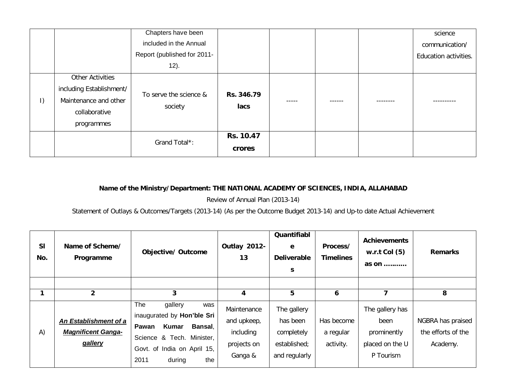|           |                          | Chapters have been                |            |       |        | science               |
|-----------|--------------------------|-----------------------------------|------------|-------|--------|-----------------------|
|           |                          | included in the Annual            |            |       |        | communication/        |
|           |                          | Report (published for 2011-       |            |       |        | Education activities. |
|           |                          | 12).                              |            |       |        |                       |
|           | <b>Other Activities</b>  |                                   |            |       |        |                       |
|           | including Establishment/ | To serve the science &<br>society | Rs. 346.79 |       |        |                       |
| $\vert$ ) | Maintenance and other    |                                   |            | ----- | ------ | ----------            |
|           | collaborative            |                                   | lacs       |       |        |                       |
|           | programmes               |                                   |            |       |        |                       |
|           |                          |                                   | Rs. 10.47  |       |        |                       |
|           |                          | Grand Total*:                     | crores     |       |        |                       |

## **Name of the Ministry/Department: THE NATIONAL ACADEMY OF SCIENCES, INDIA, ALLAHABAD**

Review of Annual Plan (2013-14)

Statement of Outlays & Outcomes/Targets (2013-14) (As per the Outcome Budget 2013-14) and Up-to date Actual Achievement

| SI<br>No. | Name of Scheme/<br>Programme                                  | <b>Objective/ Outcome</b>                                                                                                                                                    | Outlay 2012-<br>13                                                | Quantifiabl<br>e<br><b>Deliverable</b><br>S.                           | Process/<br><b>Timelines</b>         | <b>Achievements</b><br>w.r.t Col $(5)$<br>as on                        | <b>Remarks</b>                                      |
|-----------|---------------------------------------------------------------|------------------------------------------------------------------------------------------------------------------------------------------------------------------------------|-------------------------------------------------------------------|------------------------------------------------------------------------|--------------------------------------|------------------------------------------------------------------------|-----------------------------------------------------|
|           |                                                               |                                                                                                                                                                              |                                                                   |                                                                        |                                      |                                                                        |                                                     |
|           | $\overline{2}$                                                | 3                                                                                                                                                                            | 4                                                                 | 5                                                                      | 6                                    | 7                                                                      | 8                                                   |
| A)        | An Establishment of a<br><b>Magnificent Ganga-</b><br>gallery | <b>The</b><br>gallery<br>was<br>inaugurated by Hon'ble Sri<br>Kumar<br>Bansal,<br>Pawan<br>Science & Tech. Minister,<br>Govt. of India on April 15,<br>2011<br>the<br>during | Maintenance<br>and upkeep,<br>including<br>projects on<br>Ganga & | The gallery<br>has been<br>completely<br>established;<br>and regularly | Has become<br>a regular<br>activity. | The gallery has<br>been<br>prominently<br>placed on the U<br>P Tourism | NGBRA has praised<br>the efforts of the<br>Academy. |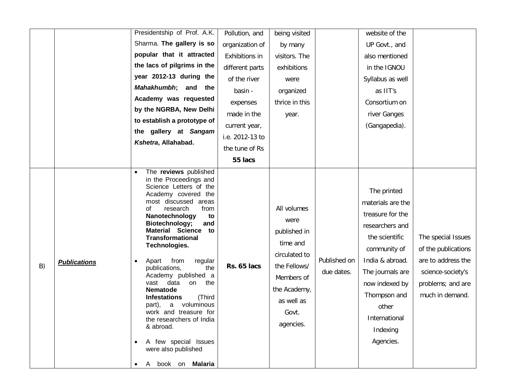|                           | Presidentship of Prof. A.K.                                                                                                                                                                                                                                                                                                                                                                                                                                                                                                                                                                           | Pollution, and  | being visited                                                                                                                                      |                            | website of the                                                                                                                                                                                                                        |                                                                                                                              |
|---------------------------|-------------------------------------------------------------------------------------------------------------------------------------------------------------------------------------------------------------------------------------------------------------------------------------------------------------------------------------------------------------------------------------------------------------------------------------------------------------------------------------------------------------------------------------------------------------------------------------------------------|-----------------|----------------------------------------------------------------------------------------------------------------------------------------------------|----------------------------|---------------------------------------------------------------------------------------------------------------------------------------------------------------------------------------------------------------------------------------|------------------------------------------------------------------------------------------------------------------------------|
|                           | Sharma. The gallery is so                                                                                                                                                                                                                                                                                                                                                                                                                                                                                                                                                                             | organization of | by many                                                                                                                                            |                            | UP Govt., and                                                                                                                                                                                                                         |                                                                                                                              |
|                           | popular that it attracted                                                                                                                                                                                                                                                                                                                                                                                                                                                                                                                                                                             | Exhibitions in  | visitors. The                                                                                                                                      |                            | also mentioned                                                                                                                                                                                                                        |                                                                                                                              |
|                           | the lacs of pilgrims in the                                                                                                                                                                                                                                                                                                                                                                                                                                                                                                                                                                           | different parts | exhibitions                                                                                                                                        |                            | in the IGNOU                                                                                                                                                                                                                          |                                                                                                                              |
|                           | year 2012-13 during the                                                                                                                                                                                                                                                                                                                                                                                                                                                                                                                                                                               | of the river    | were                                                                                                                                               |                            | Syllabus as well                                                                                                                                                                                                                      |                                                                                                                              |
|                           | Mahakhumbh; and the                                                                                                                                                                                                                                                                                                                                                                                                                                                                                                                                                                                   | basin -         | organized                                                                                                                                          |                            | as IIT's                                                                                                                                                                                                                              |                                                                                                                              |
|                           | Academy was requested                                                                                                                                                                                                                                                                                                                                                                                                                                                                                                                                                                                 | expenses        | thrice in this                                                                                                                                     |                            | Consortium on                                                                                                                                                                                                                         |                                                                                                                              |
|                           | by the NGRBA, New Delhi                                                                                                                                                                                                                                                                                                                                                                                                                                                                                                                                                                               | made in the     | year.                                                                                                                                              |                            | river Ganges                                                                                                                                                                                                                          |                                                                                                                              |
|                           | to establish a prototype of                                                                                                                                                                                                                                                                                                                                                                                                                                                                                                                                                                           | current year,   |                                                                                                                                                    |                            | (Gangapedia).                                                                                                                                                                                                                         |                                                                                                                              |
|                           | the gallery at Sangam                                                                                                                                                                                                                                                                                                                                                                                                                                                                                                                                                                                 | i.e. 2012-13 to |                                                                                                                                                    |                            |                                                                                                                                                                                                                                       |                                                                                                                              |
|                           | Kshetra, Allahabad.                                                                                                                                                                                                                                                                                                                                                                                                                                                                                                                                                                                   | the tune of Rs  |                                                                                                                                                    |                            |                                                                                                                                                                                                                                       |                                                                                                                              |
|                           |                                                                                                                                                                                                                                                                                                                                                                                                                                                                                                                                                                                                       | 55 lacs         |                                                                                                                                                    |                            |                                                                                                                                                                                                                                       |                                                                                                                              |
| <b>Publications</b><br>B) | The reviews published<br>in the Proceedings and<br>Science Letters of the<br>Academy covered the<br>most discussed areas<br>research<br>from<br>оt<br>Nanotechnology<br>to<br>Biotechnology;<br>and<br><b>Material Science</b><br>to<br><b>Transformational</b><br>Technologies.<br>from<br>Apart<br>regular<br>publications,<br>the<br>Academy published a<br>vast data<br>the<br>on<br>Nematode<br><b>Infestations</b><br>(Third<br>voluminous<br>part),<br>a<br>work and treasure for<br>the researchers of India<br>& abroad.<br>A few special Issues<br>were also published<br>A book on Malaria | Rs. 65 lacs     | All volumes<br>were<br>published in<br>time and<br>circulated to<br>the Fellows/<br>Members of<br>the Academy,<br>as well as<br>Govt.<br>agencies. | Published on<br>due dates. | The printed<br>materials are the<br>treasure for the<br>researchers and<br>the scientific<br>community of<br>India & abroad.<br>The journals are<br>now indexed by<br>Thompson and<br>other<br>International<br>Indexing<br>Agencies. | The special Issues<br>of the publications<br>are to address the<br>science-society's<br>problems; and are<br>much in demand. |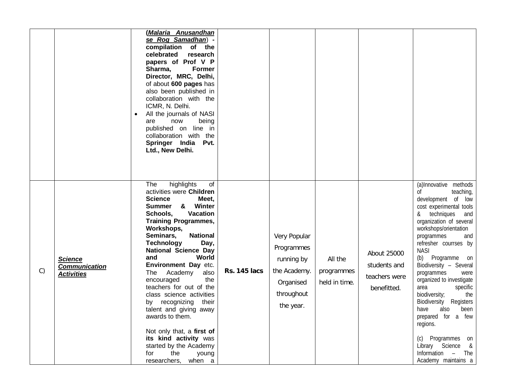|    |                                                             | <u>(Malaria Anusandhan</u><br>se Rog Samadhan) -<br>compilation<br>of the<br>celebrated<br>research<br>papers of Prof V P<br>Sharma,<br><b>Former</b><br>Director, MRC, Delhi,<br>of about 600 pages has<br>also been published in<br>collaboration with the<br>ICMR, N. Delhi.<br>All the journals of NASI<br>$\bullet$<br>now<br>being<br>are<br>published on line in<br>collaboration with the<br>Springer India<br>Pvt.<br>Ltd., New Delhi.<br>highlights<br>The<br>of                                                                                                                                      |                     |                                                                                                  |                                        |                                                             | methods<br>(a)Innovative                                                                                                                                                                                                                                                                                                                                                                                                                                                                                                                         |
|----|-------------------------------------------------------------|-----------------------------------------------------------------------------------------------------------------------------------------------------------------------------------------------------------------------------------------------------------------------------------------------------------------------------------------------------------------------------------------------------------------------------------------------------------------------------------------------------------------------------------------------------------------------------------------------------------------|---------------------|--------------------------------------------------------------------------------------------------|----------------------------------------|-------------------------------------------------------------|--------------------------------------------------------------------------------------------------------------------------------------------------------------------------------------------------------------------------------------------------------------------------------------------------------------------------------------------------------------------------------------------------------------------------------------------------------------------------------------------------------------------------------------------------|
| C) | <b>Science</b><br><b>Communication</b><br><b>Activities</b> | activities were Children<br><b>Science</b><br>Meet,<br>& Winter<br><b>Summer</b><br><b>Vacation</b><br>Schools,<br><b>Training Programmes,</b><br>Workshops,<br><b>National</b><br>Seminars,<br><b>Technology</b><br>Day,<br><b>National Science Day</b><br>and<br>World<br>Environment Day etc.<br>The<br>Academy<br>also<br>the<br>encouraged<br>teachers for out of the<br>class science activities<br>recognizing<br>their<br>by<br>talent and giving away<br>awards to them.<br>Not only that, a first of<br>its kind activity was<br>started by the Academy<br>the<br>for<br>young<br>researchers, when a | <b>Rs. 145 lacs</b> | Very Popular<br>Programmes<br>running by<br>the Academy.<br>Organised<br>throughout<br>the year. | All the<br>programmes<br>held in time. | About 25000<br>students and<br>teachers were<br>benefitted. | 0f<br>teaching,<br>development<br>0f<br>low<br>cost experimental tools<br>techniques<br>&<br>and<br>organization of several<br>workshops/orientation<br>programmes<br>and<br>refresher courrses by<br><b>NASI</b><br>Programme<br>(b)<br>on<br>Biodiversity - Several<br>programmes<br>were<br>organized to investigate<br>specific<br>area<br>the<br>biodiversity;<br>Biodiversity<br>Registers<br>have<br>also<br>been<br>prepared for a few<br>regions.<br>(c) Programmes on<br>Library Science &<br>Information - The<br>Academy maintains a |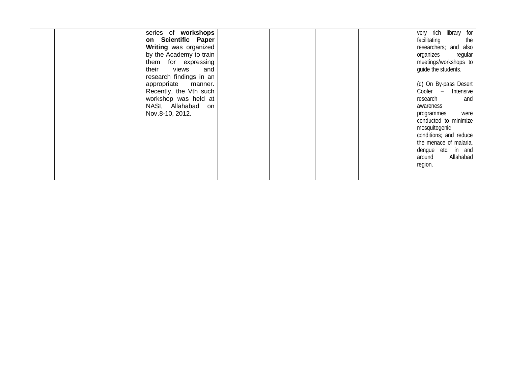| series of workshops     |  |  | very rich library for  |
|-------------------------|--|--|------------------------|
| on Scientific Paper     |  |  | facilitating<br>the    |
| Writing was organized   |  |  | researchers; and also  |
| by the Academy to train |  |  | organizes<br>regular   |
| them for expressing     |  |  | meetings/workshops to  |
| their<br>views<br>and   |  |  | guide the students.    |
| research findings in an |  |  |                        |
| appropriate manner.     |  |  | (d) On By-pass Desert  |
| Recently, the Vth such  |  |  | Cooler - Intensive     |
| workshop was held at    |  |  | research<br>and        |
| NASI, Allahabad<br>on   |  |  | awareness              |
| Nov.8-10, 2012.         |  |  | were<br>programmes     |
|                         |  |  | conducted to minimize  |
|                         |  |  | mosquitogenic          |
|                         |  |  | conditions; and reduce |
|                         |  |  | the menace of malaria, |
|                         |  |  |                        |
|                         |  |  | dengue etc. in and     |
|                         |  |  | Allahabad<br>around    |
|                         |  |  | region.                |
|                         |  |  |                        |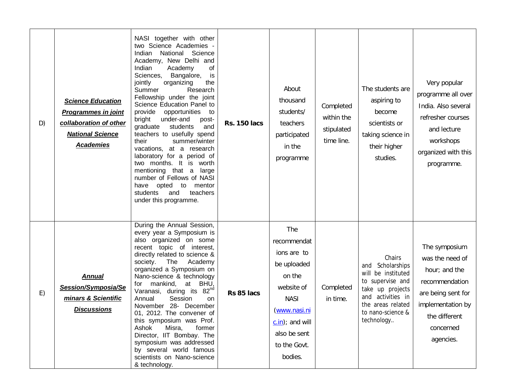| D) | <b>Science Education</b><br><b>Programmes in joint</b><br>collaboration of other<br><b>National Science</b><br><b>Academies</b> | NASI together with other<br>two Science Academies -<br>National Science<br>Indian<br>Academy, New Delhi and<br>of<br>Indian<br>Academy<br>Sciences,<br>Bangalore,<br>is<br>organizing<br>the<br>jointly<br>Summer<br>Research<br>Fellowship under the joint<br>Science Education Panel to<br>provide<br>opportunities to<br>bright<br>under-and<br>post-<br>graduate<br>students<br>and<br>teachers to usefully spend<br>summer/winter<br>their<br>vacations, at a research<br>laboratory for a period of<br>two months. It is worth<br>mentioning that a<br>large<br>number of Fellows of NASI<br>have opted to mentor<br>students<br>and<br>teachers<br>under this programme. | <b>Rs. 150 lacs</b> | About<br>thousand<br>students/<br>teachers<br>participated<br>in the<br>programme                                                                                              | Completed<br>within the<br>stipulated<br>time line. | The students are<br>aspiring to<br>become<br>scientists or<br>taking science in<br>their higher<br>studies.                                                              | Very popular<br>programme all over<br>India. Also several<br>refresher courses<br>and lecture<br>workshops<br>organized with this<br>programme.           |
|----|---------------------------------------------------------------------------------------------------------------------------------|---------------------------------------------------------------------------------------------------------------------------------------------------------------------------------------------------------------------------------------------------------------------------------------------------------------------------------------------------------------------------------------------------------------------------------------------------------------------------------------------------------------------------------------------------------------------------------------------------------------------------------------------------------------------------------|---------------------|--------------------------------------------------------------------------------------------------------------------------------------------------------------------------------|-----------------------------------------------------|--------------------------------------------------------------------------------------------------------------------------------------------------------------------------|-----------------------------------------------------------------------------------------------------------------------------------------------------------|
| E) | <b>Annual</b><br>Session/Symposia/Se<br>minars & Scientific<br><b>Discussions</b>                                               | During the Annual Session,<br>every year a Symposium is<br>also organized on some<br>recent topic of interest,<br>directly related to science &<br>The<br>society.<br>Academy<br>organized a Symposium on<br>Nano-science & technology<br>mankind,<br>at BHU,<br>for<br>Varanasi, during its 82 <sup>nd</sup><br>Annual<br>Session<br>on<br>November 28- December<br>01, 2012. The convener of<br>this symposium was Prof.<br>Ashok<br>Misra,<br>former<br>Director, IIT Bombay. The<br>symposium was addressed<br>by several world famous<br>scientists on Nano-science<br>& technology.                                                                                       | Rs 85 lacs          | The<br>recommendat<br>ions are to<br>be uploaded<br>on the<br>website of<br><b>NASI</b><br><u>(www.nasi.ni</u><br>$c.in$ ; and will<br>also be sent<br>to the Govt.<br>bodies. | Completed<br>in time.                               | Chairs<br>Scholarships<br>and<br>will be instituted<br>to supervise and<br>take up projects<br>and activities in<br>the areas related<br>to nano-science &<br>technology | The symposium<br>was the need of<br>hour; and the<br>recommendation<br>are being sent for<br>implementation by<br>the different<br>concerned<br>agencies. |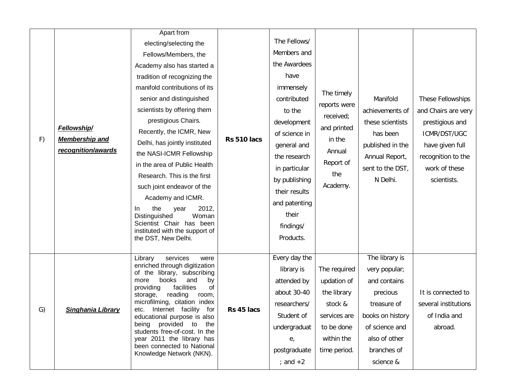|    |                          | Apart from                                                      |             |               |                 |                  |                      |  |
|----|--------------------------|-----------------------------------------------------------------|-------------|---------------|-----------------|------------------|----------------------|--|
|    |                          | electing/selecting the                                          |             | The Fellows/  |                 |                  |                      |  |
|    |                          | Fellows/Members, the                                            |             | Members and   |                 |                  |                      |  |
|    |                          | Academy also has started a                                      |             | the Awardees  |                 |                  |                      |  |
|    |                          | tradition of recognizing the                                    |             | have          |                 |                  |                      |  |
|    |                          | manifold contributions of its                                   |             | immensely     | The timely      |                  |                      |  |
|    |                          | senior and distinguished                                        |             | contributed   |                 | Manifold         | These Fellowships    |  |
|    |                          | scientists by offering them                                     |             | to the        | reports were    | achievements of  | and Chairs are very  |  |
|    |                          | prestigious Chairs.                                             |             | development   | received;       | these scientists | prestigious and      |  |
|    | Fellowship/              | Recently, the ICMR, New                                         |             | of science in | and printed     | has been         | ICMR/DST/UGC         |  |
| F) | <b>Membership and</b>    | Delhi, has jointly instituted                                   | Rs 510 lacs | general and   | in the          | published in the | have given full      |  |
|    | recognition/awards       | the NASI-ICMR Fellowship                                        |             | the research  | Annual          | Annual Report,   | recognition to the   |  |
|    |                          | in the area of Public Health                                    |             | in particular | Report of       | sent to the DST, | work of these        |  |
|    |                          | Research. This is the first                                     |             | by publishing | the<br>Academy. | N Delhi.         | scientists.          |  |
|    |                          | such joint endeavor of the                                      |             | their results |                 |                  |                      |  |
|    |                          | Academy and ICMR.                                               |             | and patenting |                 |                  |                      |  |
|    |                          | 2012,<br>the<br>In<br>year                                      |             |               | their           |                  |                      |  |
|    |                          | Distinguished<br>Woman<br>Scientist Chair has been              |             | findings/     |                 |                  |                      |  |
|    |                          | instituted with the support of                                  |             |               |                 |                  |                      |  |
|    |                          | the DST, New Delhi.                                             |             | Products.     |                 |                  |                      |  |
|    |                          | Library<br>services<br>were                                     |             | Every day the |                 | The library is   |                      |  |
|    |                          | enriched through digitization<br>of the<br>library, subscribing |             | library is    | The required    | very popular;    |                      |  |
|    |                          | books<br>and<br>more<br>by                                      |             | attended by   | updation of     | and contains     |                      |  |
|    |                          | providing<br>facilities<br>of<br>reading<br>storage,<br>room,   |             | about 30-40   | the library     | precious         | It is connected to   |  |
|    |                          | microfilming, citation index                                    |             | researchers/  | stock &         | treasure of      | several institutions |  |
| G) | <b>Singhania Library</b> | Internet facility<br>for<br>etc.<br>educational purpose is also | Rs 45 lacs  | Student of    | services are    | books on history | of India and         |  |
|    |                          | being provided to<br>the<br>students free-of-cost. In the       |             | undergraduat  | to be done      | of science and   | abroad.              |  |
|    |                          | year 2011 the library has                                       |             | $e_{i}$       | within the      | also of other    |                      |  |
|    |                          | been connected to National<br>Knowledge Network (NKN).          |             | postgraduate  | time period.    | branches of      |                      |  |
|    |                          |                                                                 |             | ; and $+2$    |                 | science &        |                      |  |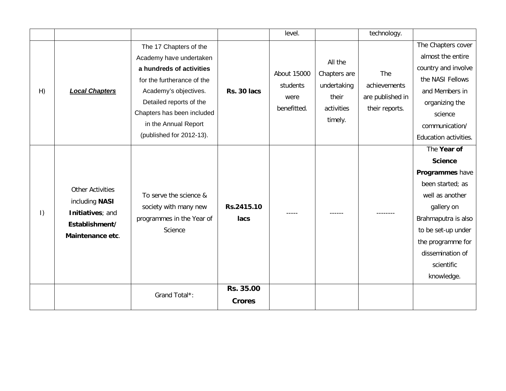|           |                                                                                                     |                                                                                                                                                                                                                                                   |                            | level.                                                |                                                                          | technology.                                               |                                                                                                                                                                                                                         |
|-----------|-----------------------------------------------------------------------------------------------------|---------------------------------------------------------------------------------------------------------------------------------------------------------------------------------------------------------------------------------------------------|----------------------------|-------------------------------------------------------|--------------------------------------------------------------------------|-----------------------------------------------------------|-------------------------------------------------------------------------------------------------------------------------------------------------------------------------------------------------------------------------|
| H)        | <b>Local Chapters</b>                                                                               | The 17 Chapters of the<br>Academy have undertaken<br>a hundreds of activities<br>for the furtherance of the<br>Academy's objectives.<br>Detailed reports of the<br>Chapters has been included<br>in the Annual Report<br>(published for 2012-13). | Rs. 30 lacs                | <b>About 15000</b><br>students<br>were<br>benefitted. | All the<br>Chapters are<br>undertaking<br>their<br>activities<br>timely. | The<br>achievements<br>are published in<br>their reports. | The Chapters cover<br>almost the entire<br>country and involve<br>the NASI Fellows<br>and Members in<br>organizing the<br>science<br>communication/<br>Education activities.                                            |
| $\vert$ ) | <b>Other Activities</b><br>including NASI<br>Initiatives; and<br>Establishment/<br>Maintenance etc. | To serve the science &<br>society with many new<br>programmes in the Year of<br>Science                                                                                                                                                           | Rs.2415.10<br>lacs         | -----                                                 |                                                                          |                                                           | The Year of<br><b>Science</b><br>Programmes have<br>been started; as<br>well as another<br>gallery on<br>Brahmaputra is also<br>to be set-up under<br>the programme for<br>dissemination of<br>scientific<br>knowledge. |
|           |                                                                                                     | Grand Total*:                                                                                                                                                                                                                                     | Rs. 35.00<br><b>Crores</b> |                                                       |                                                                          |                                                           |                                                                                                                                                                                                                         |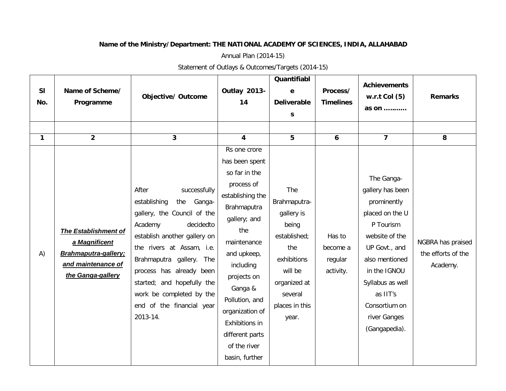## **Name of the Ministry/Department: THE NATIONAL ACADEMY OF SCIENCES, INDIA, ALLAHABAD**

Annual Plan (2014-15)

Statement of Outlays & Outcomes/Targets (2014-15)

| <b>SI</b><br>No. | Name of Scheme/<br>Programme                                                                                     | <b>Objective/ Outcome</b>                                                                                                                                                                                                                                                                                                             | <b>Outlay 2013-</b><br>14                                                                                                                                                                                                                                                                                | Quantifiabl<br>e<br><b>Deliverable</b><br>S                                                                                                       | Process/<br><b>Timelines</b>               | <b>Achievements</b><br>$w.r.t$ Col $(5)$<br>as on                                                                                                                                                                                    | <b>Remarks</b>                                      |
|------------------|------------------------------------------------------------------------------------------------------------------|---------------------------------------------------------------------------------------------------------------------------------------------------------------------------------------------------------------------------------------------------------------------------------------------------------------------------------------|----------------------------------------------------------------------------------------------------------------------------------------------------------------------------------------------------------------------------------------------------------------------------------------------------------|---------------------------------------------------------------------------------------------------------------------------------------------------|--------------------------------------------|--------------------------------------------------------------------------------------------------------------------------------------------------------------------------------------------------------------------------------------|-----------------------------------------------------|
| $\mathbf{1}$     | $\overline{2}$                                                                                                   | 3                                                                                                                                                                                                                                                                                                                                     | $\overline{\mathbf{4}}$                                                                                                                                                                                                                                                                                  | 5                                                                                                                                                 | 6                                          | $\overline{7}$                                                                                                                                                                                                                       | 8                                                   |
| A)               | The Establishment of<br>a Magnificent<br><b>Brahmaputra-gallery</b> :<br>and maintenance of<br>the Ganga-gallery | successfully<br>After<br>establishing<br>the<br>Ganga-<br>gallery, the Council of the<br>Academy<br>decidedto<br>establish another gallery on<br>the rivers at Assam, i.e.<br>Brahmaputra gallery. The<br>process has already been<br>started; and hopefully the<br>work be completed by the<br>end of the financial year<br>2013-14. | Rs one crore<br>has been spent<br>so far in the<br>process of<br>establishing the<br>Brahmaputra<br>gallery; and<br>the<br>maintenance<br>and upkeep,<br>including<br>projects on<br>Ganga &<br>Pollution, and<br>organization of<br>Exhibitions in<br>different parts<br>of the river<br>basin, further | The<br>Brahmaputra-<br>gallery is<br>being<br>established;<br>the<br>exhibitions<br>will be<br>organized at<br>several<br>places in this<br>year. | Has to<br>become a<br>regular<br>activity. | The Ganga-<br>gallery has been<br>prominently<br>placed on the U<br>P Tourism<br>website of the<br>UP Govt., and<br>also mentioned<br>in the IGNOU<br>Syllabus as well<br>as IIT's<br>Consortium on<br>river Ganges<br>(Gangapedia). | NGBRA has praised<br>the efforts of the<br>Academy. |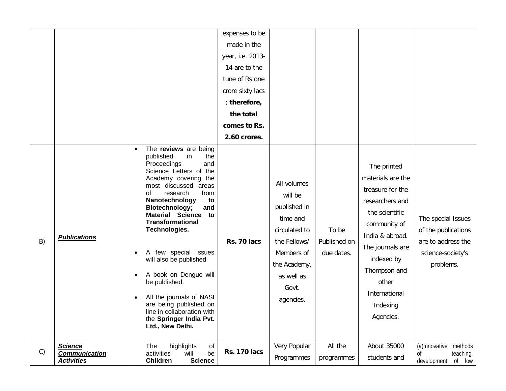|    |                                                             |                                                                                                                                                                                                                                                                                                                                                                                                                                                                                                                                                                                            | expenses to be<br>made in the<br>year, i.e. 2013-<br>14 are to the<br>tune of Rs one<br>crore sixty lacs<br>; therefore,<br>the total<br>comes to Rs.<br>2.60 crores. |                                                                                                                                                       |                                     |                                                                                                                                                                                                                                   |                                                                                                   |
|----|-------------------------------------------------------------|--------------------------------------------------------------------------------------------------------------------------------------------------------------------------------------------------------------------------------------------------------------------------------------------------------------------------------------------------------------------------------------------------------------------------------------------------------------------------------------------------------------------------------------------------------------------------------------------|-----------------------------------------------------------------------------------------------------------------------------------------------------------------------|-------------------------------------------------------------------------------------------------------------------------------------------------------|-------------------------------------|-----------------------------------------------------------------------------------------------------------------------------------------------------------------------------------------------------------------------------------|---------------------------------------------------------------------------------------------------|
| B) | <b>Publications</b>                                         | The reviews are being<br>$\bullet$<br>published<br>in<br>the<br>Proceedings<br>and<br>Science Letters of the<br>Academy covering the<br>most discussed areas<br>research<br>from<br>οf<br>Nanotechnology<br>to<br>Biotechnology;<br>and<br><b>Material Science</b><br>to<br><b>Transformational</b><br>Technologies.<br>A few special Issues<br>$\bullet$<br>will also be published<br>A book on Dengue will<br>$\bullet$<br>be published.<br>All the journals of NASI<br>$\bullet$<br>are being published on<br>line in collaboration with<br>the Springer India Pvt.<br>Ltd., New Delhi. | Rs. 70 lacs                                                                                                                                                           | All volumes<br>will be<br>published in<br>time and<br>circulated to<br>the Fellows/<br>Members of<br>the Academy,<br>as well as<br>Govt.<br>agencies. | To be<br>Published on<br>due dates. | The printed<br>materials are the<br>treasure for the<br>researchers and<br>the scientific<br>community of<br>India & abroad.<br>The journals are<br>indexed by<br>Thompson and<br>other<br>International<br>Indexing<br>Agencies. | The special Issues<br>of the publications<br>are to address the<br>science-society's<br>problems. |
| C) | <b>Science</b><br><b>Communication</b><br><b>Activities</b> | highlights<br>of<br>The<br>activities<br>be<br>will<br><b>Children</b><br><b>Science</b>                                                                                                                                                                                                                                                                                                                                                                                                                                                                                                   | <b>Rs. 170 lacs</b>                                                                                                                                                   | Very Popular<br>Programmes                                                                                                                            | All the<br>programmes               | About 35000<br>students and                                                                                                                                                                                                       | methods<br>(a)Innovative<br>teaching,<br>Οf<br>development<br>of low                              |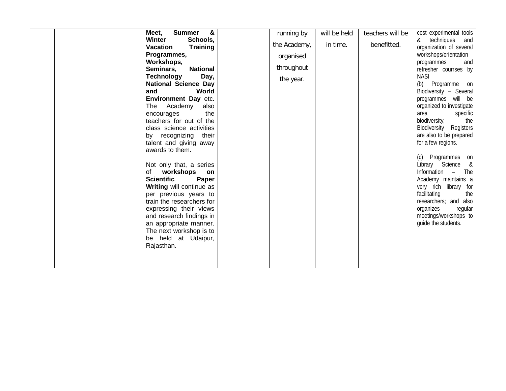| &<br><b>Summer</b><br>Meet,        | running by   | will be held | teachers will be | cost experimental tools      |
|------------------------------------|--------------|--------------|------------------|------------------------------|
| Winter<br>Schools,                 |              |              |                  | techniques<br>&<br>and       |
| <b>Training</b><br><b>Vacation</b> | the Academy, | in time.     | benefitted.      | organization of several      |
|                                    |              |              |                  |                              |
| Programmes,                        | organised    |              |                  | workshops/orientation        |
| Workshops,                         | throughout   |              |                  | programmes<br>and            |
| <b>National</b><br>Seminars,       |              |              |                  | refresher courrses by        |
| Day,<br><b>Technology</b>          | the year.    |              |                  | <b>NASI</b>                  |
| <b>National Science Day</b>        |              |              |                  | (b)<br>Programme on          |
| and<br>World                       |              |              |                  | Biodiversity - Several       |
| Environment Day etc.               |              |              |                  | programmes will be           |
| The<br>Academy<br>also             |              |              |                  | organized to investigate     |
| the<br>encourages                  |              |              |                  | specific<br>area             |
| teachers for out of the            |              |              |                  | the<br>biodiversity;         |
| class science activities           |              |              |                  | Biodiversity Registers       |
| by recognizing their               |              |              |                  | are also to be prepared      |
| talent and giving away             |              |              |                  | for a few regions.           |
| awards to them.                    |              |              |                  |                              |
|                                    |              |              |                  | Programmes<br>(c)<br>on      |
| Not only that, a series            |              |              |                  | Library Science<br>&         |
| workshops<br>of<br><b>on</b>       |              |              |                  | Information<br>The<br>$\sim$ |
| <b>Scientific</b><br>Paper         |              |              |                  | Academy maintains a          |
| Writing will continue as           |              |              |                  | very rich library for        |
| per previous years to              |              |              |                  | facilitating<br>the          |
| train the researchers for          |              |              |                  | researchers; and also        |
| expressing their views             |              |              |                  | organizes<br>regular         |
| and research findings in           |              |              |                  | meetings/workshops to        |
| an appropriate manner.             |              |              |                  | guide the students.          |
| The next workshop is to            |              |              |                  |                              |
| be held at Udaipur,                |              |              |                  |                              |
| Rajasthan.                         |              |              |                  |                              |
|                                    |              |              |                  |                              |
|                                    |              |              |                  |                              |
|                                    |              |              |                  |                              |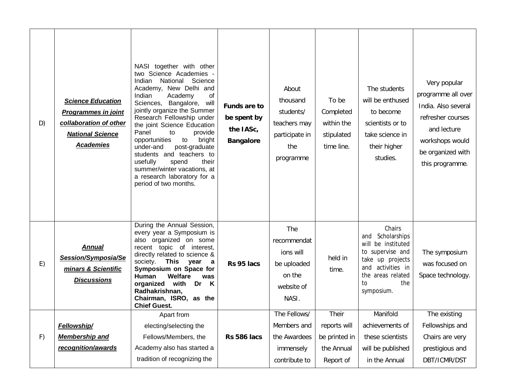| D) | <b>Science Education</b><br><b>Programmes in joint</b><br>collaboration of other<br><b>National Science</b><br><b>Academies</b> | NASI together with other<br>two Science Academies -<br>National Science<br>Indian<br>Academy, New Delhi and<br>Indian<br>Academy<br>οf<br>Sciences, Bangalore,<br>will<br>jointly organize the Summer<br>Research Fellowship under<br>the joint Science Education<br>Panel<br>to<br>provide<br>to<br>opportunities<br>bright<br>post-graduate<br>under-and<br>students and teachers to<br>usefully<br>their<br>spend<br>summer/winter vacations, at<br>a research laboratory for a<br>period of two months. | <b>Funds are to</b><br>be spent by<br>the IASc,<br><b>Bangalore</b> | About<br>thousand<br>students/<br>teachers may<br>participate in<br>the<br>programme | To be<br>Completed<br>within the<br>stipulated<br>time line. | The students<br>will be enthused<br>to become<br>scientists or to<br>take science in<br>their higher<br>studies.                                                    | Very popular<br>programme all over<br>India. Also several<br>refresher courses<br>and lecture<br>workshops would<br>be organized with<br>this programme. |
|----|---------------------------------------------------------------------------------------------------------------------------------|-------------------------------------------------------------------------------------------------------------------------------------------------------------------------------------------------------------------------------------------------------------------------------------------------------------------------------------------------------------------------------------------------------------------------------------------------------------------------------------------------------------|---------------------------------------------------------------------|--------------------------------------------------------------------------------------|--------------------------------------------------------------|---------------------------------------------------------------------------------------------------------------------------------------------------------------------|----------------------------------------------------------------------------------------------------------------------------------------------------------|
| E) | <b>Annual</b><br>Session/Symposia/Se<br>minars & Scientific<br><b>Discussions</b>                                               | During the Annual Session,<br>every year a Symposium is<br>also organized on some<br>recent topic of interest,<br>directly related to science &<br>This<br>society.<br>year<br>$\alpha$<br>Symposium on Space for<br>Human<br>Welfare<br>was<br>organized with<br>Dr K<br>Radhakrishnan,<br>Chairman, ISRO, as the<br><b>Chief Guest.</b>                                                                                                                                                                   | Rs 95 lacs                                                          | The<br>recommendat<br>ions will<br>be uploaded<br>on the<br>website of<br>NASI.      | held in<br>time.                                             | Chairs<br>Scholarships<br>and<br>be instituted<br>will<br>to supervise and<br>take up projects<br>and activities in<br>the areas related<br>the<br>to<br>symposium. | The symposium<br>was focused on<br>Space technology.                                                                                                     |
|    |                                                                                                                                 | Apart from                                                                                                                                                                                                                                                                                                                                                                                                                                                                                                  |                                                                     | The Fellows/                                                                         | Their                                                        | Manifold                                                                                                                                                            | The existing                                                                                                                                             |
|    | Fellowship/                                                                                                                     | electing/selecting the                                                                                                                                                                                                                                                                                                                                                                                                                                                                                      |                                                                     | Members and                                                                          | reports will                                                 | achievements of                                                                                                                                                     | Fellowships and                                                                                                                                          |
| F) | <b>Membership and</b>                                                                                                           | Fellows/Members, the                                                                                                                                                                                                                                                                                                                                                                                                                                                                                        | Rs 586 lacs                                                         | the Awardees                                                                         | be printed in                                                | these scientists                                                                                                                                                    | Chairs are very                                                                                                                                          |
|    | recognition/awards                                                                                                              | Academy also has started a                                                                                                                                                                                                                                                                                                                                                                                                                                                                                  |                                                                     | immensely                                                                            | the Annual                                                   | will be published                                                                                                                                                   | prestigious and                                                                                                                                          |
|    |                                                                                                                                 | tradition of recognizing the                                                                                                                                                                                                                                                                                                                                                                                                                                                                                |                                                                     | contribute to                                                                        | Report of                                                    | in the Annual                                                                                                                                                       | DBT/ICMR/DST                                                                                                                                             |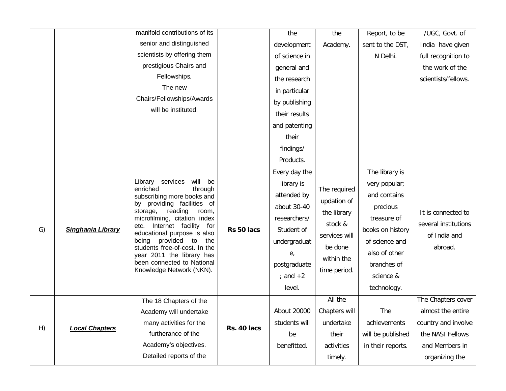|    |                       | manifold contributions of its                                                                                                                                                                                                                                              |             | the           | the                        | Report, to be     | /UGC, Govt. of          |                      |
|----|-----------------------|----------------------------------------------------------------------------------------------------------------------------------------------------------------------------------------------------------------------------------------------------------------------------|-------------|---------------|----------------------------|-------------------|-------------------------|----------------------|
|    |                       | senior and distinguished                                                                                                                                                                                                                                                   |             | development   | Academy.                   | sent to the DST,  | India have given        |                      |
|    |                       | scientists by offering them                                                                                                                                                                                                                                                |             | of science in |                            | N Delhi.          | full recognition to     |                      |
|    |                       | prestigious Chairs and                                                                                                                                                                                                                                                     |             | general and   |                            |                   | the work of the         |                      |
|    |                       | Fellowships.                                                                                                                                                                                                                                                               |             | the research  |                            |                   | scientists/fellows.     |                      |
|    |                       | The new                                                                                                                                                                                                                                                                    |             | in particular |                            |                   |                         |                      |
|    |                       | Chairs/Fellowships/Awards                                                                                                                                                                                                                                                  |             | by publishing |                            |                   |                         |                      |
|    |                       | will be instituted.                                                                                                                                                                                                                                                        |             | their results |                            |                   |                         |                      |
|    |                       |                                                                                                                                                                                                                                                                            |             | and patenting |                            |                   |                         |                      |
|    |                       |                                                                                                                                                                                                                                                                            |             | their         |                            |                   |                         |                      |
|    |                       |                                                                                                                                                                                                                                                                            |             | findings/     |                            |                   |                         |                      |
|    |                       |                                                                                                                                                                                                                                                                            |             | Products.     |                            |                   |                         |                      |
|    |                       |                                                                                                                                                                                                                                                                            |             | Every day the |                            | The library is    |                         |                      |
|    | Singhania Library     | Library services<br>will be<br>enriched<br>through<br>subscribing more books and<br>by providing facilities of<br>reading<br>storage,<br>room,<br>microfilming, citation index<br>Internet facility for<br>etc.<br>educational purpose is also<br>being provided to<br>the |             | library is    | The required               | very popular;     |                         |                      |
|    |                       |                                                                                                                                                                                                                                                                            |             | attended by   | updation of<br>the library | and contains      |                         |                      |
|    |                       |                                                                                                                                                                                                                                                                            |             | about 30-40   |                            | precious          | It is connected to      |                      |
|    |                       |                                                                                                                                                                                                                                                                            |             |               | researchers/               |                   | treasure of             | several institutions |
| G) |                       |                                                                                                                                                                                                                                                                            | Rs 50 lacs  | Student of    | stock &                    | books on history  |                         |                      |
|    |                       |                                                                                                                                                                                                                                                                            |             | undergraduat  | services will              | of science and    | of India and<br>abroad. |                      |
|    |                       | students free-of-cost. In the<br>year 2011 the library has                                                                                                                                                                                                                 |             | е,            | be done                    | also of other     |                         |                      |
|    |                       | been connected to National<br>Knowledge Network (NKN).                                                                                                                                                                                                                     |             | postgraduate  | within the                 | branches of       |                         |                      |
|    |                       |                                                                                                                                                                                                                                                                            |             | ; and $+2$    | time period.               | science &         |                         |                      |
|    |                       |                                                                                                                                                                                                                                                                            |             | level.        |                            | technology.       |                         |                      |
|    |                       | The 18 Chapters of the                                                                                                                                                                                                                                                     |             |               | All the                    |                   | The Chapters cover      |                      |
|    |                       | Academy will undertake                                                                                                                                                                                                                                                     |             | About 20000   | Chapters will              | The               | almost the entire       |                      |
| H) | <b>Local Chapters</b> | many activities for the                                                                                                                                                                                                                                                    | Rs. 40 lacs | students will | undertake                  | achievements      | country and involve     |                      |
|    |                       | furtherance of the                                                                                                                                                                                                                                                         |             | be            | their                      | will be published | the NASI Fellows        |                      |
|    |                       | Academy's objectives.                                                                                                                                                                                                                                                      |             | benefitted.   | activities                 | in their reports. | and Members in          |                      |
|    |                       | Detailed reports of the                                                                                                                                                                                                                                                    |             |               | timely.                    |                   | organizing the          |                      |